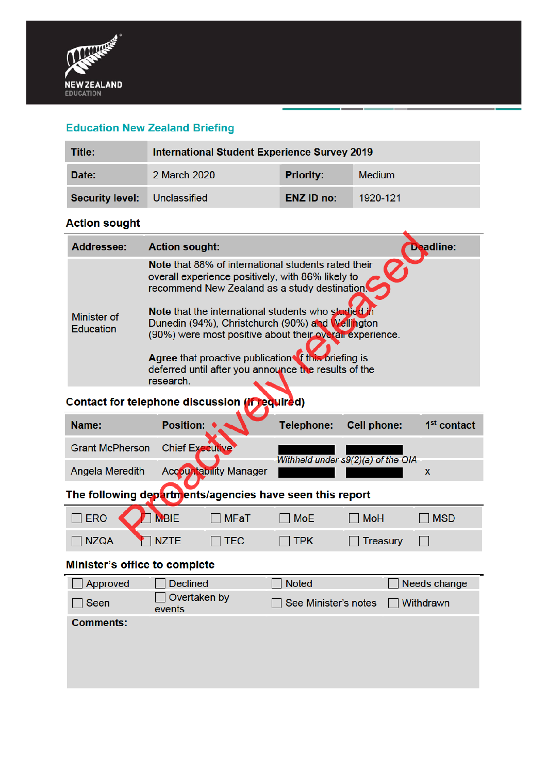

## **Education New Zealand Briefing**

| Title:                              | International Student Experience Survey 2019 |                   |               |
|-------------------------------------|----------------------------------------------|-------------------|---------------|
| Date:                               | 2 March 2020                                 | <b>Priority:</b>  | <b>Medium</b> |
| <b>Security level:</b> Unclassified |                                              | <b>ENZ ID no:</b> | 1920-121      |

### **Action sought**

| <b>Addressee:</b>                      | <b>Deadline:</b><br><b>Action sought:</b>                                                                                                                                                                                                                                                                                                                                                                                                                     |
|----------------------------------------|---------------------------------------------------------------------------------------------------------------------------------------------------------------------------------------------------------------------------------------------------------------------------------------------------------------------------------------------------------------------------------------------------------------------------------------------------------------|
| <b>Minister of</b><br><b>Education</b> | Note that 88% of international students rated their<br>overall experience positively, with 86% likely to<br>recommend New Zealand as a study destination.<br>Note that the international students who studied in<br>Dunedin (94%), Christchurch (90%) and Wellington<br>(90%) were most positive about their overall experience.<br>Agree that proactive publication of this briefing is<br>deferred until after you announce the results of the<br>research. |

# Contact for telephone discussion (if required)

| Name:                                                            | <b>Position: ♦</b>            | Telephone: | <b>Cell phone:</b>                 | 1 <sup>st</sup> contact |  |
|------------------------------------------------------------------|-------------------------------|------------|------------------------------------|-------------------------|--|
| Grant McPherson Chief Executive                                  |                               |            |                                    |                         |  |
| Angela Meredith                                                  | <b>Accountability Manager</b> |            | Withheld under s9(2)(a) of the OIA |                         |  |
| The following departmentations and long house coop this venember |                               |            |                                    |                         |  |

#### The following departments/agencies have seen this report

| ERO MBIE    |             | MFaT       | MoE   | $\Box$ MoH | <b>MSD</b> |
|-------------|-------------|------------|-------|------------|------------|
| $\Box$ NZQA | <b>NZTE</b> | $\Box$ TEC | ] TPK | Treasury   |            |

## Minister's office to complete

| <b>Declined</b>        | <b>Noted</b>                | Needs change     |
|------------------------|-----------------------------|------------------|
| Overtaken by<br>events | $\Box$ See Minister's notes | $\Box$ Withdrawn |
|                        |                             |                  |
|                        |                             |                  |
|                        |                             |                  |
|                        |                             |                  |
|                        |                             |                  |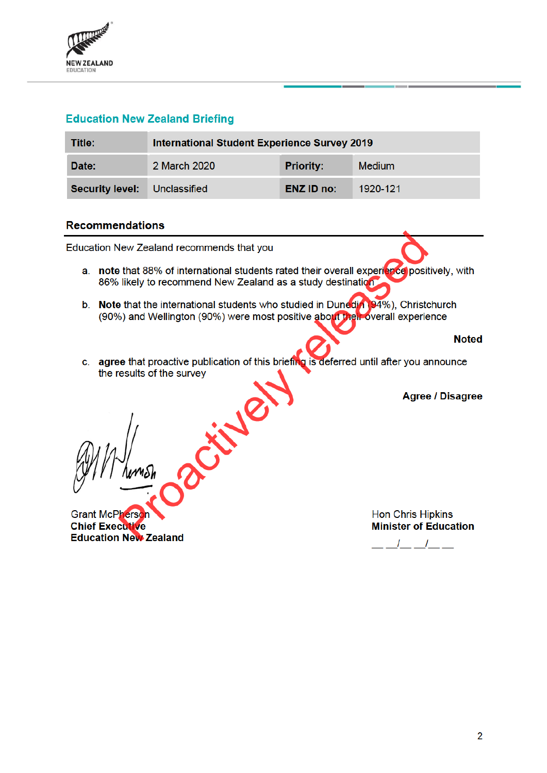

### **Education New Zealand Briefing**

| Title:                       | <b>International Student Experience Survey 2019</b> |                  |               |
|------------------------------|-----------------------------------------------------|------------------|---------------|
| Date:                        | 2 March 2020                                        | <b>Priority:</b> | <b>Medium</b> |
| Security level: Unclassified |                                                     | ENZ ID no:       | 1920-121      |

#### **Recommendations**

Education New Zealand recommends that you

- a. note that 88% of international students rated their overall experience positively, with 86% likely to recommend New Zealand as a study destination
- b. Note that the international students who studied in Dunedia (94%), Christchurch (90%) and Wellington (90%) were most positive about their overall experience
- c. agree that proactive publication of this briefing is deferred until after you announce the results of the survey

Cityle

**Agree / Disagree** 

**Noted** 

**Grant McPherson Chief Executive Education New Zealand**  **Hon Chris Hipkins Minister of Education** 

 $\frac{1}{2}$   $\frac{1}{2}$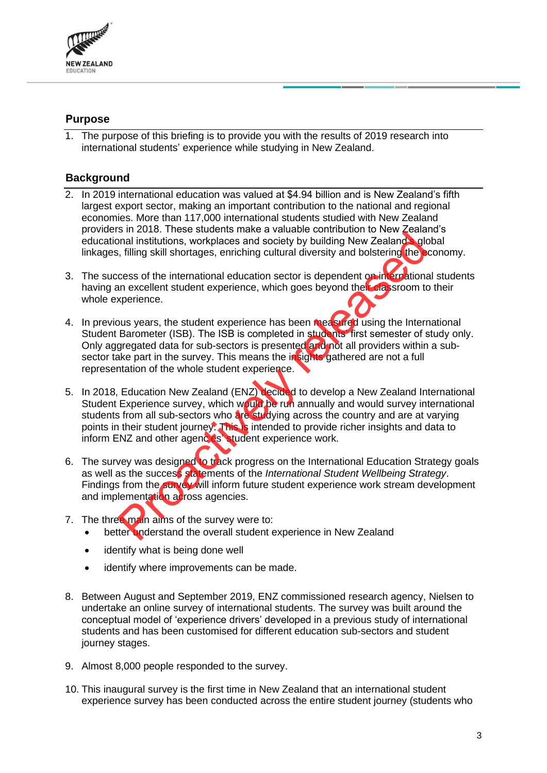

### **Purpose**

1. The purpose of this briefing is to provide you with the results of 2019 research into international students' experience while studying in New Zealand.

## **Background**

- 2. In 2019 international education was valued at \$4.94 billion and is New Zealand's fifth largest export sector, making an important contribution to the national and regional economies. More than 117,000 international students studied with New Zealand providers in 2018. These students make a valuable contribution to New Zealand's educational institutions, workplaces and society by building New Zealand s global linkages, filling skill shortages, enriching cultural diversity and bolstering the economy.
- 3. The success of the international education sector is dependent on international students having an excellent student experience, which goes beyond their classroom to their whole experience.
- 4. In previous vears, the student experience has been measured using the International Student Barometer (ISB). The ISB is completed in students' first semester of study only. Only aggregated data for sub-sectors is presented and not all providers within a subsector take part in the survey. This means the insights gathered are not a full representation of the whole student experience.
- 5. In 2018, Education New Zealand (ENZ) decided to develop a New Zealand International Student Experience survey, which would be run annually and would survey international students from all sub-sectors who are studying across the country and are at varying points in their student journey. This is intended to provide richer insights and data to inform ENZ and other agences' student experience work. Filips skill shortages and society by building New Zealand Single is the control of the state of the international education sector is dependent on international experience.<br>
In a skill shortages, enriching cultural divers
- 6. The survey was designed to track progress on the International Education Strategy goals as well as the success statements of the *International Student Wellbeing Strategy*. Findings from the survey will inform future student experience work stream development and implementation across agencies.
- 7. The three main aims of the survey were to:
	- better understand the overall student experience in New Zealand
	- identify what is being done well
	- identify where improvements can be made.
- 8. Between August and September 2019, ENZ commissioned research agency, Nielsen to undertake an online survey of international students. The survey was built around the conceptual model of 'experience drivers' developed in a previous study of international students and has been customised for different education sub-sectors and student journey stages.
- 9. Almost 8,000 people responded to the survey.
- 10. This inaugural survey is the first time in New Zealand that an international student experience survey has been conducted across the entire student journey (students who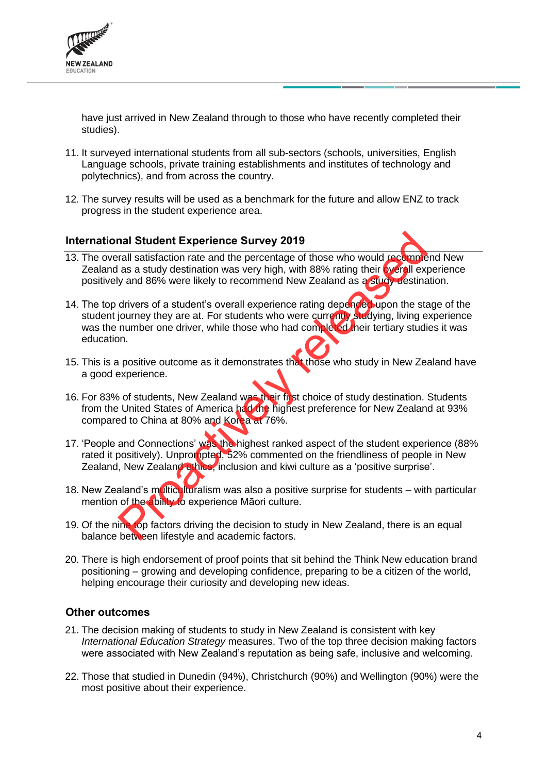

have just arrived in New Zealand through to those who have recently completed their studies).

- 11. It surveyed international students from all sub-sectors (schools, universities, English Language schools, private training establishments and institutes of technology and polytechnics), and from across the country.
- 12. The survey results will be used as a benchmark for the future and allow ENZ to track progress in the student experience area.

#### **International Student Experience Survey 2019**

- 13. The overall satisfaction rate and the percentage of those who would recommend New Zealand as a study destination was very high, with 88% rating their overall experience positively and 86% were likely to recommend New Zealand as a study destination.
- 14. The top drivers of a student's overall experience rating depended upon the stage of the student journey they are at. For students who were currently studying, living experience was the number one driver, while those who had completed their tertiary studies it was education. nal Student Experience Survey 2019<br>
rall satisfaction rate and the percentage of those who would recomment<br>
as a study destination was very high, with 88% rating their byen lext<br>
y and 86% were likely to recommend New Zeal
- 15. This is a positive outcome as it demonstrates that those who study in New Zealand have a good experience.
- 16. For 83% of students, New Zealand was their first choice of study destination. Students from the United States of America had the highest preference for New Zealand at 93% compared to China at 80% and Korea at 76%.
- 17. 'People and Connections' was the highest ranked aspect of the student experience (88% rated it positively). Unprompted, 52% commented on the friendliness of people in New Zealand, New Zealand ethics, inclusion and kiwi culture as a 'positive surprise'.
- 18. New Zealand's multiculturalism was also a positive surprise for students with particular mention of the ability to experience Māori culture.
- 19. Of the nine top factors driving the decision to study in New Zealand, there is an equal balance between lifestyle and academic factors.
- 20. There is high endorsement of proof points that sit behind the Think New education brand positioning – growing and developing confidence, preparing to be a citizen of the world, helping encourage their curiosity and developing new ideas.

#### **Other outcomes**

- 21. The decision making of students to study in New Zealand is consistent with key *International Education Strategy* measures. Two of the top three decision making factors were associated with New Zealand's reputation as being safe, inclusive and welcoming.
- 22. Those that studied in Dunedin (94%), Christchurch (90%) and Wellington (90%) were the most positive about their experience.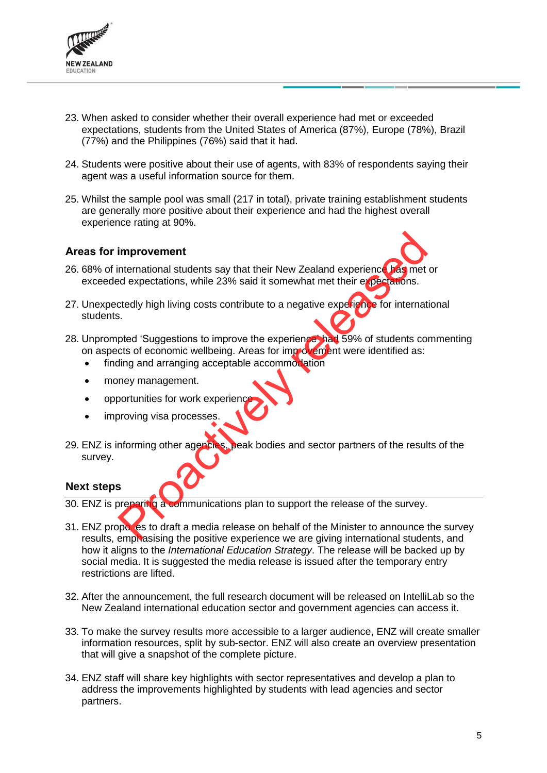

- 23. When asked to consider whether their overall experience had met or exceeded expectations, students from the United States of America (87%), Europe (78%), Brazil (77%) and the Philippines (76%) said that it had.
- 24. Students were positive about their use of agents, with 83% of respondents saying their agent was a useful information source for them.
- 25. Whilst the sample pool was small (217 in total), private training establishment students are generally more positive about their experience and had the highest overall experience rating at 90%.

#### **Areas for improvement**

- 26. 68% of international students say that their New Zealand experience has met or exceeded expectations, while 23% said it somewhat met their expectations.
- 27. Unexpectedly high living costs contribute to a negative experience for international students.
- 28. Unprompted 'Suggestions to improve the experience' had 59% of students commenting on aspects of economic wellbeing. Areas for imp ovement were identified as:
	- finding and arranging acceptable accommodation
	- money management.
	- opportunities for work experien
	- improving visa processes
- 29. ENZ is informing other agencies, peak bodies and sector partners of the results of the survey. improvement<br>
International students say that their New Zealand experience Tragmet<br>
dexpectations, while 23% said it somewhat met their experience<br>
Shorted 'Suggestions to improve the experience that 59% of students co<br>
to

#### **Next steps**

30. ENZ is preparing a communications plan to support the release of the survey.

- 31. ENZ propo es to draft a media release on behalf of the Minister to announce the survey results, emphasising the positive experience we are giving international students, and how it aligns to the *International Education Strategy*. The release will be backed up by social media. It is suggested the media release is issued after the temporary entry restrictions are lifted.
- 32. After the announcement, the full research document will be released on IntelliLab so the New Zealand international education sector and government agencies can access it.
- 33. To make the survey results more accessible to a larger audience, ENZ will create smaller information resources, split by sub-sector. ENZ will also create an overview presentation that will give a snapshot of the complete picture.
- 34. ENZ staff will share key highlights with sector representatives and develop a plan to address the improvements highlighted by students with lead agencies and sector partners.